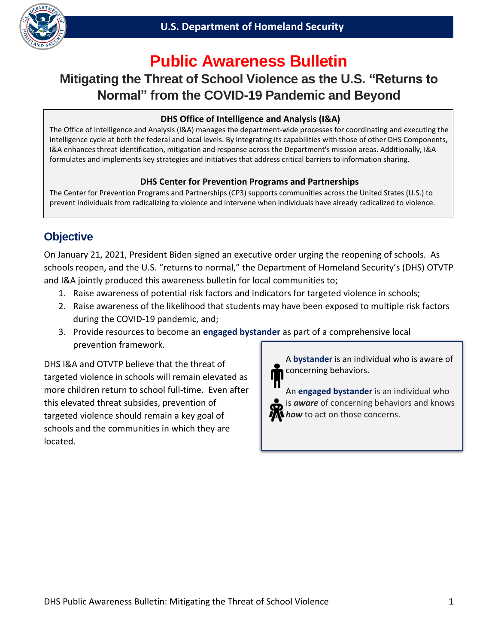

# **Public Awareness Bulletin**

# **Mitigating the Threat of School Violence as the U.S. "Returns to Normal" from the COVID-19 Pandemic and Beyond**

### **DHS Office of Intelligence and Analysis (I&A)**

 intelligence cycle at both the federal and local levels. By integrating its capabilities with those of other DHS Components, The Office of Intelligence and Analysis (I&A) manages the department-wide processes for coordinating and executing the I&A enhances threat identification, mitigation and response across the Department's mission areas. Additionally, I&A formulates and implements key strategies and initiatives that address critical barriers to information sharing.

#### **DHS Center for Prevention Programs and Partnerships**

The Center for Prevention Programs and Partnerships (CP3) supports communities across the United States (U.S.) to prevent individuals from radicalizing to violence and intervene when individuals have already radicalized to violence.

# **Objective**

On January 21, 2021, President Biden signed an executive order urging the reopening of schools. As schools reopen, and the U.S. "returns to normal," the Department of Homeland Security's (DHS) OTVTP and I&A jointly produced this awareness bulletin for local communities to;

- 1. Raise awareness of potential risk factors and indicators for targeted violence in schools;
- 2. Raise awareness of the likelihood that students may have been exposed to multiple risk factors during the COVID-19 pandemic, and;
- 3. Provide resources to become an **engaged bystander** as part of a comprehensive local prevention framework.

 more children return to school full-time. Even after DHS I&A and OTVTP believe that the threat of targeted violence in schools will remain elevated as this elevated threat subsides, prevention of targeted violence should remain a key goal of schools and the communities in which they are located.

A **bystander** is an individual who is aware of concerning behaviors.

An **engaged bystander** is an individual who is *aware* of concerning behaviors and knows *how* to act on those concerns.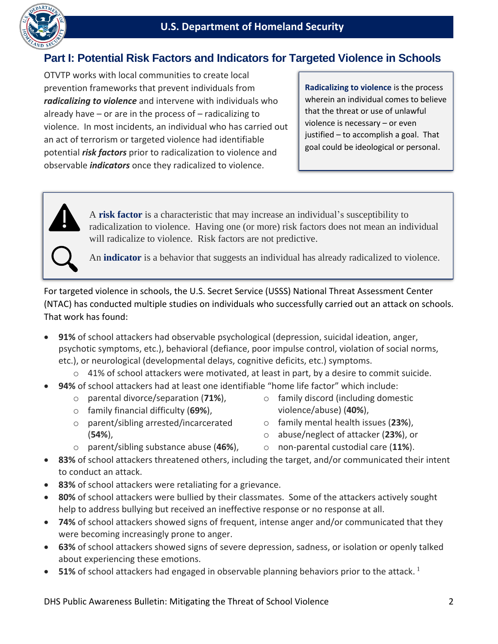

## **Part I: Potential Risk Factors and Indicators for Targeted Violence in Schools**

 violence. In most incidents, an individual who has carried out OTVTP works with local communities to create local prevention frameworks that prevent individuals from *radicalizing to violence* and intervene with individuals who already have  $-$  or are in the process of  $-$  radicalizing to an act of terrorism or targeted violence had identifiable potential *risk factors* prior to radicalization to violence and observable *indicators* once they radicalized to violence.

**Radicalizing to violence** is the process wherein an individual comes to believe that the threat or use of unlawful violence is necessary – or even justified – to accomplish a goal. That goal could be ideological or personal.



A **risk factor** is a characteristic that may increase an individual's susceptibility to radicalization to violence. Having one (or more) risk factors does not mean an individual will radicalize to violence. Risk factors are not predictive.

An **indicator** is a behavior that suggests an individual has already radicalized to violence.

 That work has found: For targeted violence in schools, the U.S. Secret Service (USSS) National Threat Assessment Center (NTAC) has conducted multiple studies on individuals who successfully carried out an attack on schools.

- **91%** of school attackers had observable psychological (depression, suicidal ideation, anger, psychotic symptoms, etc.), behavioral (defiance, poor impulse control, violation of social norms, etc.), or neurological (developmental delays, cognitive deficits, etc.) symptoms.
	- $\circ$  41% of school attackers were motivated, at least in part, by a desire to commit suicide.
- **94%** of school attackers had at least one identifiable "home life factor" which include:
	- o parental divorce/separation (**71%**), o family discord (including domestic
	- o family financial difficulty (**69%**), violence/abuse) (**40%**),
	- o parent/sibling arrested/incarcerated o family mental health issues (**23%**),
- - (**54%**), o abuse/neglect of attacker (**23%**), or
		-
	- o parent/sibling substance abuse (**46%**), o non-parental custodial care (**11%**).
		-
- **83%** of school attackers threatened others, including the target, and/or communicated their intent to conduct an attack.
- **83%** of school attackers were retaliating for a grievance.
- **80%** of school attackers were bullied by their classmates. Some of the attackers actively sought help to address bullying but received an ineffective response or no response at all.
- **74%** of school attackers showed signs of frequent, intense anger and/or communicated that they were becoming increasingly prone to anger.
- **63%** of school attackers showed signs of severe depression, sadness, or isolation or openly talked about experiencing these emotions.
- **51%** of school attackers had engaged in observable planning behaviors prior to the attack.<sup>1</sup>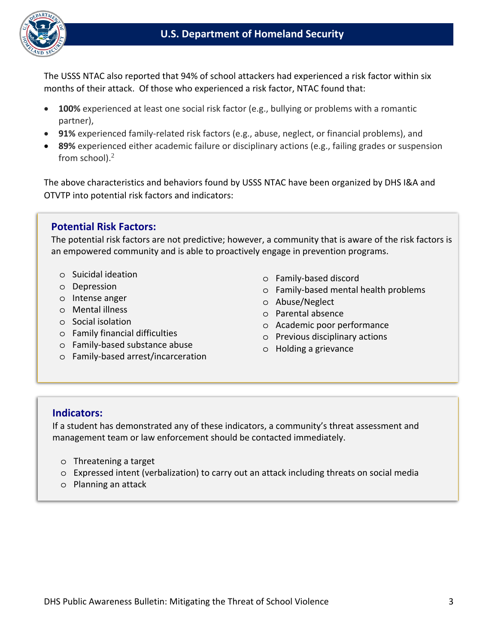

The USSS NTAC also reported that 94% of school attackers had experienced a risk factor within six months of their attack. Of those who experienced a risk factor, NTAC found that:

- **100%** experienced at least one social risk factor (e.g., bullying or problems with a romantic partner),
- **91%** experienced family-related risk factors (e.g., abuse, neglect, or financial problems), and
- **89%** experienced either academic failure or disciplinary actions (e.g., failing grades or suspension from school). $<sup>2</sup>$ </sup>

The above characteristics and behaviors found by USSS NTAC have been organized by DHS I&A and OTVTP into potential risk factors and indicators:

## **Potential Risk Factors:**

The potential risk factors are not predictive; however, a community that is aware of the risk factors is an empowered community and is able to proactively engage in prevention programs.

- o Suicidal ideation
- o Depression
- o Intense anger
- o Mental illness
- o Social isolation
- o Family financial difficulties
- o Family-based substance abuse
- o Family-based arrest/incarceration
- o Family-based discord
- o Family-based mental health problems
- o Abuse/Neglect
- o Parental absence
- o Academic poor performance
- o Previous disciplinary actions
- o Holding a grievance

#### **Indicators:**

If a student has demonstrated any of these indicators, a community's threat assessment and management team or law enforcement should be contacted immediately.

- o Threatening a target
- o Expressed intent (verbalization) to carry out an attack including threats on social media
- o Planning an attack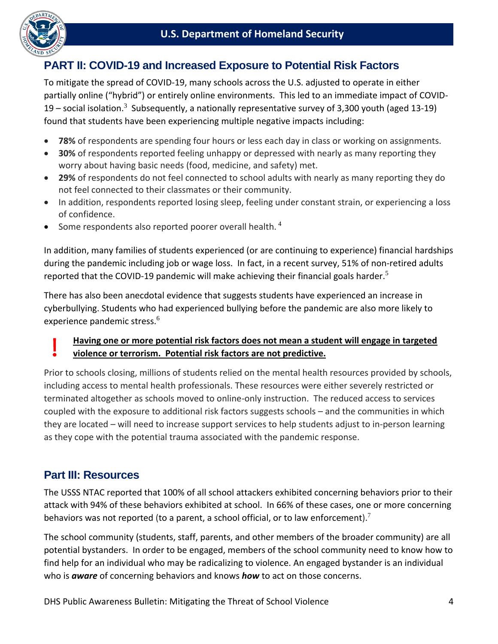

## **PART II: COVID-19 and Increased Exposure to Potential Risk Factors**

19 – social isolation.<sup>3</sup> Subsequently, a nationally representative survey of 3,300 youth (aged 13-19) To mitigate the spread of COVID-19, many schools across the U.S. adjusted to operate in either partially online ("hybrid") or entirely online environments. This led to an immediate impact of COVIDfound that students have been experiencing multiple negative impacts including:

- **78%** of respondents are spending four hours or less each day in class or working on assignments.
- **30%** of respondents reported feeling unhappy or depressed with nearly as many reporting they worry about having basic needs (food, medicine, and safety) met.
- **29%** of respondents do not feel connected to school adults with nearly as many reporting they do not feel connected to their classmates or their community.
- In addition, respondents reported losing sleep, feeling under constant strain, or experiencing a loss of confidence.
- Some respondents also reported poorer overall health.<sup>4</sup>

In addition, many families of students experienced (or are continuing to experience) financial hardships during the pandemic including job or wage loss. In fact, in a recent survey, 51% of non-retired adults reported that the COVID-19 pandemic will make achieving their financial goals harder. $5$ 

There has also been anecdotal evidence that suggests students have experienced an increase in cyberbullying. Students who had experienced bullying before the pandemic are also more likely to experience pandemic stress.<sup>6</sup>

## **Having one or more potential risk factors does not mean a student will engage in targeted violence or terrorism. Potential risk factors are not predictive.**

Prior to schools closing, millions of students relied on the mental health resources provided by schools, including access to mental health professionals. These resources were either severely restricted or terminated altogether as schools moved to online-only instruction. The reduced access to services coupled with the exposure to additional risk factors suggests schools – and the communities in which they are located – will need to increase support services to help students adjust to in-person learning as they cope with the potential trauma associated with the pandemic response.

## **Part III: Resources**

behaviors was not reported (to a parent, a school official, or to law enforcement).<sup>7</sup> The USSS NTAC reported that 100% of all school attackers exhibited concerning behaviors prior to their attack with 94% of these behaviors exhibited at school. In 66% of these cases, one or more concerning

 who is *aware* of concerning behaviors and knows *how* to act on those concerns. DHS Public Awareness Bulletin: Mitigating the Threat of School Violence 4 The school community (students, staff, parents, and other members of the broader community) are all potential bystanders. In order to be engaged, members of the school community need to know how to find help for an individual who may be radicalizing to violence. An engaged bystander is an individual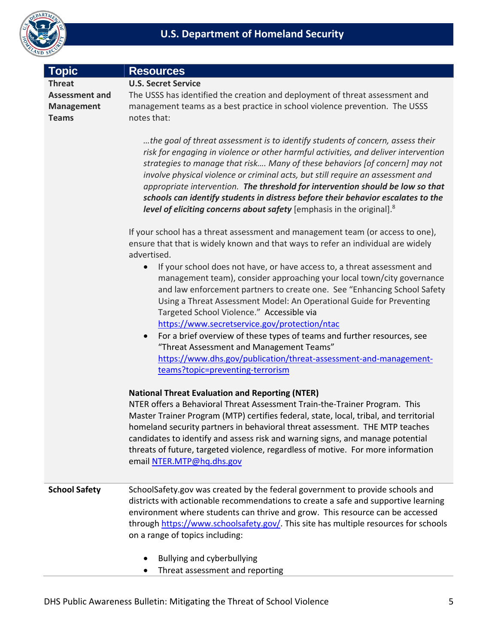

| <b>Topic</b>                                                                | <b>Resources</b>                                                                                                                                                                                                                                                                                                                                                                                                                                                                                                                                                                                   |
|-----------------------------------------------------------------------------|----------------------------------------------------------------------------------------------------------------------------------------------------------------------------------------------------------------------------------------------------------------------------------------------------------------------------------------------------------------------------------------------------------------------------------------------------------------------------------------------------------------------------------------------------------------------------------------------------|
| <b>Threat</b><br><b>Assessment and</b><br><b>Management</b><br><b>Teams</b> | <b>U.S. Secret Service</b><br>The USSS has identified the creation and deployment of threat assessment and<br>management teams as a best practice in school violence prevention. The USSS<br>notes that:                                                                                                                                                                                                                                                                                                                                                                                           |
|                                                                             | the goal of threat assessment is to identify students of concern, assess their<br>risk for engaging in violence or other harmful activities, and deliver intervention<br>strategies to manage that risk Many of these behaviors [of concern] may not<br>involve physical violence or criminal acts, but still require an assessment and<br>appropriate intervention. The threshold for intervention should be low so that<br>schools can identify students in distress before their behavior escalates to the<br>level of eliciting concerns about safety [emphasis in the original]. <sup>8</sup> |
|                                                                             | If your school has a threat assessment and management team (or access to one),<br>ensure that that is widely known and that ways to refer an individual are widely<br>advertised.                                                                                                                                                                                                                                                                                                                                                                                                                  |
|                                                                             | If your school does not have, or have access to, a threat assessment and<br>management team), consider approaching your local town/city governance<br>and law enforcement partners to create one. See "Enhancing School Safety<br>Using a Threat Assessment Model: An Operational Guide for Preventing<br>Targeted School Violence." Accessible via                                                                                                                                                                                                                                                |
|                                                                             | https://www.secretservice.gov/protection/ntac<br>For a brief overview of these types of teams and further resources, see<br>"Threat Assessment and Management Teams"<br>https://www.dhs.gov/publication/threat-assessment-and-management-                                                                                                                                                                                                                                                                                                                                                          |
|                                                                             | teams?topic=preventing-terrorism                                                                                                                                                                                                                                                                                                                                                                                                                                                                                                                                                                   |
|                                                                             | <b>National Threat Evaluation and Reporting (NTER)</b><br>NTER offers a Behavioral Threat Assessment Train-the-Trainer Program. This<br>Master Trainer Program (MTP) certifies federal, state, local, tribal, and territorial<br>homeland security partners in behavioral threat assessment. THE MTP teaches<br>candidates to identify and assess risk and warning signs, and manage potential<br>threats of future, targeted violence, regardless of motive. For more information<br>email NTER.MTP@hq.dhs.gov                                                                                    |
| <b>School Safety</b>                                                        | SchoolSafety.gov was created by the federal government to provide schools and<br>districts with actionable recommendations to create a safe and supportive learning<br>environment where students can thrive and grow. This resource can be accessed<br>through https://www.schoolsafety.gov/. This site has multiple resources for schools<br>on a range of topics including:                                                                                                                                                                                                                     |
|                                                                             | Bullying and cyberbullying<br>Threat assessment and reporting                                                                                                                                                                                                                                                                                                                                                                                                                                                                                                                                      |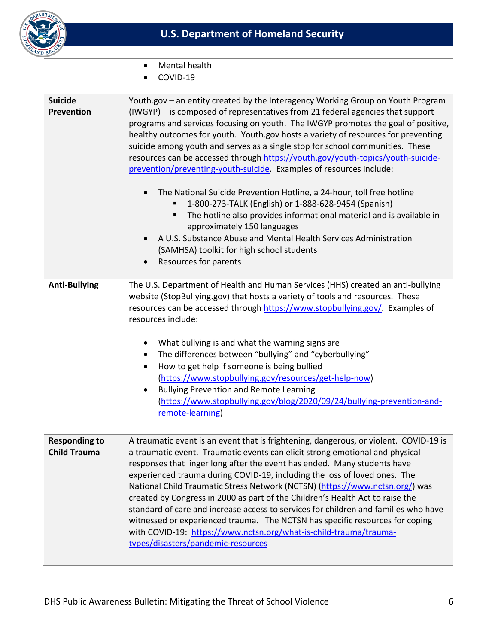

- Mental health
- COVID-19

| <b>Suicide</b><br><b>Prevention</b>         | Youth.gov - an entity created by the Interagency Working Group on Youth Program<br>(IWGYP) - is composed of representatives from 21 federal agencies that support<br>programs and services focusing on youth. The IWGYP promotes the goal of positive,<br>healthy outcomes for youth. Youth.gov hosts a variety of resources for preventing<br>suicide among youth and serves as a single stop for school communities. These<br>resources can be accessed through https://youth.gov/youth-topics/youth-suicide-<br>prevention/preventing-youth-suicide. Examples of resources include:<br>The National Suicide Prevention Hotline, a 24-hour, toll free hotline<br>$\bullet$<br>1-800-273-TALK (English) or 1-888-628-9454 (Spanish)<br>The hotline also provides informational material and is available in<br>٠<br>approximately 150 languages<br>A U.S. Substance Abuse and Mental Health Services Administration<br>$\bullet$<br>(SAMHSA) toolkit for high school students<br>Resources for parents |
|---------------------------------------------|---------------------------------------------------------------------------------------------------------------------------------------------------------------------------------------------------------------------------------------------------------------------------------------------------------------------------------------------------------------------------------------------------------------------------------------------------------------------------------------------------------------------------------------------------------------------------------------------------------------------------------------------------------------------------------------------------------------------------------------------------------------------------------------------------------------------------------------------------------------------------------------------------------------------------------------------------------------------------------------------------------|
| <b>Anti-Bullying</b>                        | The U.S. Department of Health and Human Services (HHS) created an anti-bullying<br>website (StopBullying.gov) that hosts a variety of tools and resources. These<br>resources can be accessed through https://www.stopbullying.gov/. Examples of<br>resources include:<br>What bullying is and what the warning signs are<br>$\bullet$<br>The differences between "bullying" and "cyberbullying"<br>$\bullet$<br>How to get help if someone is being bullied<br>$\bullet$<br>(https://www.stopbullying.gov/resources/get-help-now)<br><b>Bullying Prevention and Remote Learning</b><br>$\bullet$<br>(https://www.stopbullying.gov/blog/2020/09/24/bullying-prevention-and-<br>remote-learning)                                                                                                                                                                                                                                                                                                         |
| <b>Responding to</b><br><b>Child Trauma</b> | A traumatic event is an event that is frightening, dangerous, or violent. COVID-19 is<br>a traumatic event. Traumatic events can elicit strong emotional and physical<br>responses that linger long after the event has ended. Many students have<br>experienced trauma during COVID-19, including the loss of loved ones. The<br>National Child Traumatic Stress Network (NCTSN) (https://www.nctsn.org/) was<br>created by Congress in 2000 as part of the Children's Health Act to raise the<br>standard of care and increase access to services for children and families who have<br>witnessed or experienced trauma. The NCTSN has specific resources for coping<br>with COVID-19: https://www.nctsn.org/what-is-child-trauma/trauma-<br>types/disasters/pandemic-resources                                                                                                                                                                                                                       |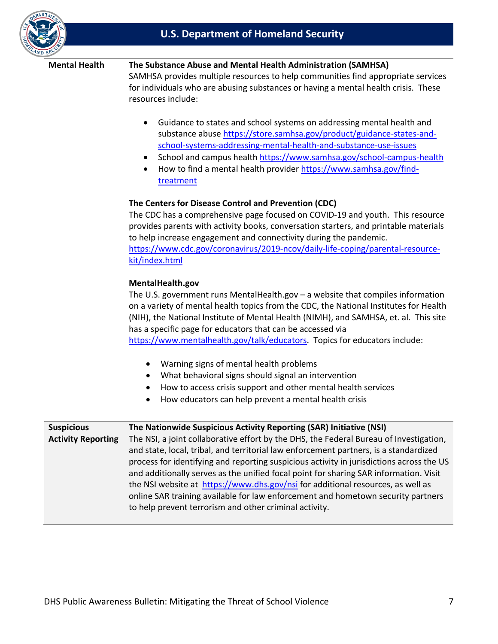

#### **Mental Health The Substance Abuse and Mental Health Administration (SAMHSA)**

 for individuals who are abusing substances or having a mental health crisis. These SAMHSA provides multiple resources to help communities find appropriate services resources include:

- Guidance to states and school systems on addressing mental health and substance abuse [https://store.samhsa.gov/product/guidance-states-and](https://store.samhsa.gov/product/guidance-states-and-school-systems-addressing-mental-health-and-substance-use-issues)[school-systems-addressing-mental-health-and-substance-use-issues](https://store.samhsa.gov/product/guidance-states-and-school-systems-addressing-mental-health-and-substance-use-issues)
- School and campus health https://www.samhsa.gov/school-campus-health
- How to find a mental health provider [https://www.samhsa.gov/find](https://www.samhsa.gov/find-treatment)[treatment](https://www.samhsa.gov/find-treatment)

#### **The Centers for Disease Control and Prevention (CDC)**

 The CDC has a comprehensive page focused on COVID-19 and youth. This resource provides parents with activity books, conversation starters, and printable materials to help increase engagement and connectivity during the pandemic. [https://www.cdc.gov/coronavirus/2019-ncov/daily-life-coping/parental-resource](https://www.cdc.gov/coronavirus/2019-ncov/daily-life-coping/parental-resource-kit/index.html)[kit/index.html](https://www.cdc.gov/coronavirus/2019-ncov/daily-life-coping/parental-resource-kit/index.html) 

#### **[MentalHealth.gov](https://MentalHealth.gov)**

[https://www.mentalhealth.gov/talk/educators.](https://www.mentalhealth.gov/talk/educators) Topics for educators include: The U.S. government runs [MentalHealth.gov](https://MentalHealth.gov) – a website that compiles information on a variety of mental health topics from the CDC, the National Institutes for Health (NIH), the National Institute of Mental Health (NIMH), and SAMHSA, et. al. This site has a specific page for educators that can be accessed via

- Warning signs of mental health problems
- What behavioral signs should signal an intervention
- How to access crisis support and other mental health services
- How educators can help prevent a mental health crisis

| <b>Suspicious</b>         | The Nationwide Suspicious Activity Reporting (SAR) Initiative (NSI)                      |
|---------------------------|------------------------------------------------------------------------------------------|
| <b>Activity Reporting</b> | The NSI, a joint collaborative effort by the DHS, the Federal Bureau of Investigation,   |
|                           | and state, local, tribal, and territorial law enforcement partners, is a standardized    |
|                           | process for identifying and reporting suspicious activity in jurisdictions across the US |
|                           | and additionally serves as the unified focal point for sharing SAR information. Visit    |
|                           | the NSI website at https://www.dhs.gov/nsi for additional resources, as well as          |
|                           | online SAR training available for law enforcement and hometown security partners         |
|                           | to help prevent terrorism and other criminal activity.                                   |